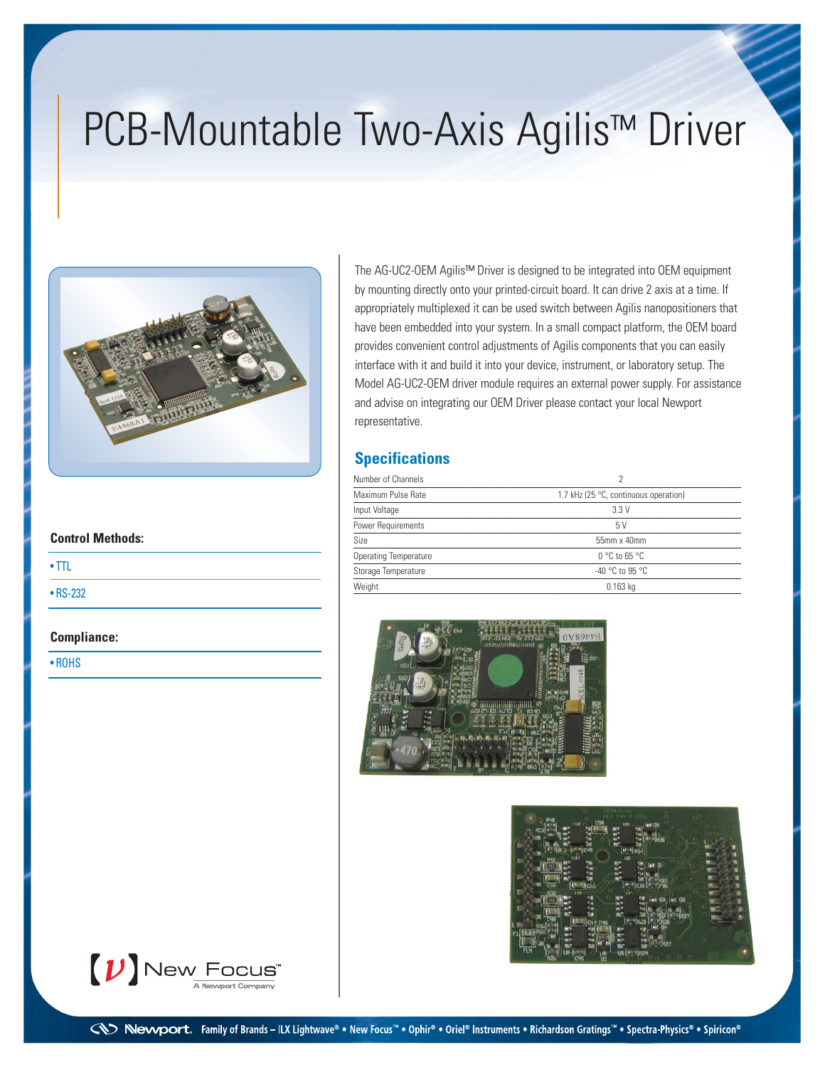# PCB-Mountable Two-Axis Agilis™ Driver



The AG-UC2-OEM Agilis™ Driver is designed to be integrated into OEM equipment by mounting directly onto your printed-circuit board. It can drive 2 axis at a time. If appropriately multiplexed it can be used switch between Agilis nanopositioners that have been embedded into your system. In a small compact platform, the OEM board provides convenient control adjustments of Agilis components that you can easily interface with it and build it into your device, instrument, or laboratory setup. The Model AG-UC2-OEM driver module requires an external power supply. For assistance and advise on integrating our OEM Driver please contact your local Newport representative.

### **Specifications**

| Number of Channels           |                                       |  |  |
|------------------------------|---------------------------------------|--|--|
| Maximum Pulse Rate           | 1.7 kHz (25 °C, continuous operation) |  |  |
| Input Voltage                | 3.3V                                  |  |  |
| Power Requirements           | 5 V                                   |  |  |
| Size                         | 55mm x 40mm                           |  |  |
| <b>Operating Temperature</b> | $0^{\circ}$ C to 65 $^{\circ}$ C      |  |  |
| Storage Temperature          | $-40$ °C to 95 °C                     |  |  |
| Weight                       | $0.163$ kg                            |  |  |





| <b>Control Methods:</b> |  |  |  |  |
|-------------------------|--|--|--|--|
| $\cdot$ TTL             |  |  |  |  |
| $\cdot$ RS-232          |  |  |  |  |

#### **Compliance:**

• ROHS